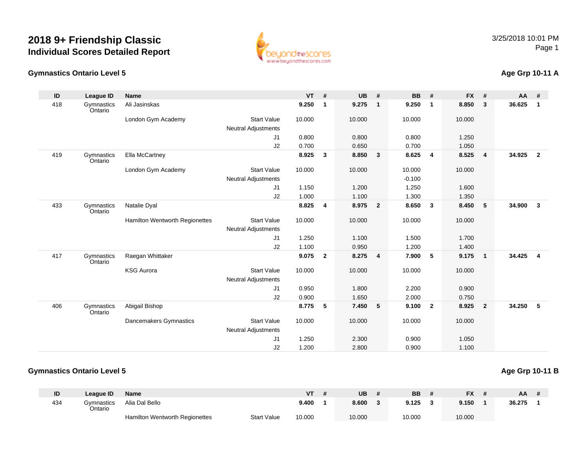

## **Gymnastics Ontario Level 5**

## **Age Grp 10-11 A**

| ID  | <b>League ID</b>      | <b>Name</b>                    |                            | <b>VT</b> | #              | <b>UB</b> | #                       | <b>BB</b> | #                       | <b>FX</b> | #              | AA     | #              |
|-----|-----------------------|--------------------------------|----------------------------|-----------|----------------|-----------|-------------------------|-----------|-------------------------|-----------|----------------|--------|----------------|
| 418 | Gymnastics<br>Ontario | Ali Jasinskas                  |                            | 9.250     | $\mathbf{1}$   | 9.275     | $\overline{\mathbf{1}}$ | 9.250     | $\mathbf{1}$            | 8.850     | $\mathbf{3}$   | 36.625 | 1              |
|     |                       | London Gym Academy             | <b>Start Value</b>         | 10.000    |                | 10.000    |                         | 10.000    |                         | 10.000    |                |        |                |
|     |                       |                                | <b>Neutral Adjustments</b> |           |                |           |                         |           |                         |           |                |        |                |
|     |                       |                                | J1                         | 0.800     |                | 0.800     |                         | 0.800     |                         | 1.250     |                |        |                |
|     |                       |                                | J2                         | 0.700     |                | 0.650     |                         | 0.700     |                         | 1.050     |                |        |                |
| 419 | Gymnastics<br>Ontario | Ella McCartney                 |                            | 8.925     | $\mathbf{3}$   | 8.850     | $\overline{\mathbf{3}}$ | 8.625     | $\overline{4}$          | 8.525     | $\overline{4}$ | 34.925 | $\overline{2}$ |
|     |                       | London Gym Academy             | <b>Start Value</b>         | 10.000    |                | 10.000    |                         | 10.000    |                         | 10.000    |                |        |                |
|     |                       |                                | <b>Neutral Adjustments</b> |           |                |           |                         | $-0.100$  |                         |           |                |        |                |
|     |                       |                                | J1                         | 1.150     |                | 1.200     |                         | 1.250     |                         | 1.600     |                |        |                |
|     |                       |                                | J2                         | 1.000     |                | 1.100     |                         | 1.300     |                         | 1.350     |                |        |                |
| 433 | Gymnastics<br>Ontario | Natalie Dyal                   |                            | 8.825     | 4              | 8.975     | $\overline{\mathbf{2}}$ | 8.650     | $\overline{\mathbf{3}}$ | 8.450     | 5              | 34.900 | $\mathbf{3}$   |
|     |                       | Hamilton Wentworth Regionettes | <b>Start Value</b>         | 10.000    |                | 10.000    |                         | 10.000    |                         | 10.000    |                |        |                |
|     |                       |                                | <b>Neutral Adjustments</b> |           |                |           |                         |           |                         |           |                |        |                |
|     |                       |                                | J1                         | 1.250     |                | 1.100     |                         | 1.500     |                         | 1.700     |                |        |                |
|     |                       |                                | J2                         | 1.100     |                | 0.950     |                         | 1.200     |                         | 1.400     |                |        |                |
| 417 | Gymnastics<br>Ontario | Raegan Whittaker               |                            | 9.075     | $\overline{2}$ | 8.275     | $\overline{\mathbf{4}}$ | 7.900     | 5                       | 9.175     | $\mathbf{1}$   | 34.425 | $\overline{4}$ |
|     |                       | <b>KSG Aurora</b>              | <b>Start Value</b>         | 10.000    |                | 10.000    |                         | 10.000    |                         | 10.000    |                |        |                |
|     |                       |                                | <b>Neutral Adjustments</b> |           |                |           |                         |           |                         |           |                |        |                |
|     |                       |                                | J1                         | 0.950     |                | 1.800     |                         | 2.200     |                         | 0.900     |                |        |                |
|     |                       |                                | J2                         | 0.900     |                | 1.650     |                         | 2.000     |                         | 0.750     |                |        |                |
| 406 | Gymnastics<br>Ontario | Abigail Bishop                 |                            | 8.775     | 5              | 7.450     | $\sqrt{5}$              | 9.100     | $\overline{\mathbf{2}}$ | 8.925     | $\overline{2}$ | 34.250 | -5             |
|     |                       | Dancemakers Gymnastics         | <b>Start Value</b>         | 10.000    |                | 10.000    |                         | 10.000    |                         | 10.000    |                |        |                |
|     |                       |                                | Neutral Adjustments        |           |                |           |                         |           |                         |           |                |        |                |
|     |                       |                                | J1                         | 1.250     |                | 2.300     |                         | 0.900     |                         | 1.050     |                |        |                |
|     |                       |                                | J2                         | 1.200     |                | 2.800     |                         | 0.900     |                         | 1.100     |                |        |                |

## **Gymnastics Ontario Level 5**

## **Age Grp 10-11 B**

| ID  | League ID             | <b>Name</b>                           |                    | VT     | <b>UB</b> | <b>BB</b> | <b>FX</b> | ΑA     |  |
|-----|-----------------------|---------------------------------------|--------------------|--------|-----------|-----------|-----------|--------|--|
| 434 | Gvmnastics<br>Ontario | Alia Dal Bello                        |                    | 9.400  | 8.600     | 9.125     | 9.150     | 36.275 |  |
|     |                       | <b>Hamilton Wentworth Regionettes</b> | <b>Start Value</b> | 10.000 | 10.000    | 10.000    | 10.000    |        |  |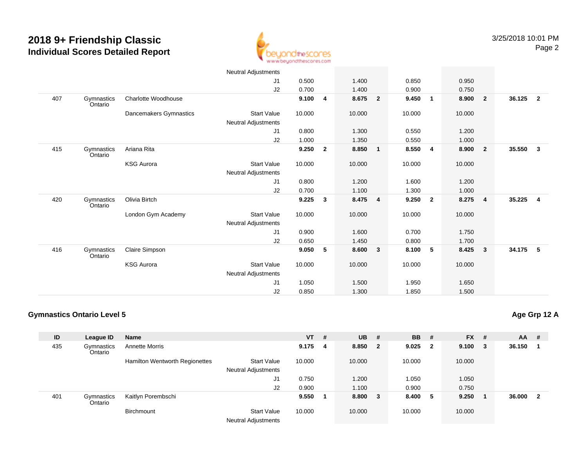

|     |                       |                        | Neutral Adjustments                       |        |                |         |                         |        |                |        |                         |        |                         |
|-----|-----------------------|------------------------|-------------------------------------------|--------|----------------|---------|-------------------------|--------|----------------|--------|-------------------------|--------|-------------------------|
|     |                       |                        | J1                                        | 0.500  |                | 1.400   |                         | 0.850  |                | 0.950  |                         |        |                         |
|     |                       |                        | J2                                        | 0.700  |                | 1.400   |                         | 0.900  |                | 0.750  |                         |        |                         |
| 407 | Gymnastics<br>Ontario | Charlotte Woodhouse    |                                           | 9.100  | 4              | 8.675   | $\overline{\mathbf{2}}$ | 9.450  | $\overline{1}$ | 8.900  | $\overline{\mathbf{2}}$ | 36.125 | $\overline{2}$          |
|     |                       | Dancemakers Gymnastics | <b>Start Value</b>                        | 10.000 |                | 10.000  |                         | 10.000 |                | 10.000 |                         |        |                         |
|     |                       |                        | Neutral Adjustments                       |        |                |         |                         |        |                |        |                         |        |                         |
|     |                       |                        | J1                                        | 0.800  |                | 1.300   |                         | 0.550  |                | 1.200  |                         |        |                         |
|     |                       |                        | J2                                        | 1.000  |                | 1.350   |                         | 0.550  |                | 1.000  |                         |        |                         |
| 415 | Gymnastics<br>Ontario | Ariana Rita            |                                           | 9.250  | $\overline{2}$ | 8.850   | $\mathbf{1}$            | 8.550  | 4              | 8.900  | $\overline{\mathbf{2}}$ | 35.550 | $\overline{\mathbf{3}}$ |
|     |                       | <b>KSG Aurora</b>      | <b>Start Value</b>                        | 10.000 |                | 10.000  |                         | 10.000 |                | 10.000 |                         |        |                         |
|     |                       |                        | Neutral Adjustments                       |        |                |         |                         |        |                |        |                         |        |                         |
|     |                       |                        | J1                                        | 0.800  |                | 1.200   |                         | 1.600  |                | 1.200  |                         |        |                         |
|     |                       |                        | J2                                        | 0.700  |                | 1.100   |                         | 1.300  |                | 1.000  |                         |        |                         |
| 420 | Gymnastics<br>Ontario | Olivia Birtch          |                                           | 9.225  | $\mathbf{3}$   | 8.475 4 |                         | 9.250  | $\overline{2}$ | 8.275  | $\overline{4}$          | 35.225 | $\overline{4}$          |
|     |                       | London Gym Academy     | <b>Start Value</b><br>Neutral Adjustments | 10.000 |                | 10.000  |                         | 10.000 |                | 10.000 |                         |        |                         |
|     |                       |                        | J1                                        | 0.900  |                | 1.600   |                         | 0.700  |                | 1.750  |                         |        |                         |
|     |                       |                        | J2                                        | 0.650  |                | 1.450   |                         | 0.800  |                | 1.700  |                         |        |                         |
| 416 |                       | Claire Simpson         |                                           | 9.050  | 5              | 8.600   | 3                       | 8.100  | 5              | 8.425  | $\overline{\mathbf{3}}$ | 34.175 | 5                       |
|     | Gymnastics<br>Ontario |                        |                                           |        |                |         |                         |        |                |        |                         |        |                         |
|     |                       | <b>KSG Aurora</b>      | <b>Start Value</b>                        | 10.000 |                | 10.000  |                         | 10.000 |                | 10.000 |                         |        |                         |
|     |                       |                        | Neutral Adjustments                       |        |                |         |                         |        |                |        |                         |        |                         |
|     |                       |                        | J1                                        | 1.050  |                | 1.500   |                         | 1.950  |                | 1.650  |                         |        |                         |
|     |                       |                        | J2                                        | 0.850  |                | 1.300   |                         | 1.850  |                | 1.500  |                         |        |                         |

## **Gymnastics Ontario Level 5**

| ID  | League ID             | <b>Name</b>                    |                                                  | <b>VT</b> | # | $UB$ # |                | <b>BB</b> | - #                     | $FX$ # |        | <b>AA</b> | -#           |
|-----|-----------------------|--------------------------------|--------------------------------------------------|-----------|---|--------|----------------|-----------|-------------------------|--------|--------|-----------|--------------|
| 435 | Gymnastics<br>Ontario | <b>Annette Morris</b>          |                                                  | 9.175     | 4 | 8.850  | $\overline{2}$ | 9.025     | $\overline{\mathbf{2}}$ | 9.100  | $_{3}$ | 36.150    |              |
|     |                       | Hamilton Wentworth Regionettes | <b>Start Value</b><br><b>Neutral Adjustments</b> | 10.000    |   | 10.000 |                | 10.000    |                         | 10.000 |        |           |              |
|     |                       |                                | J1                                               | 0.750     |   | 1.200  |                | 1.050     |                         | 1.050  |        |           |              |
|     |                       |                                | J <sub>2</sub>                                   | 0.900     |   | 1.100  |                | 0.900     |                         | 0.750  |        |           |              |
| 401 | Gymnastics<br>Ontario | Kaitlyn Porembschi             |                                                  | 9.550     |   | 8.800  | - 3            | 8.400 5   |                         | 9.250  |        | 36.000    | $\mathbf{2}$ |
|     |                       | Birchmount                     | <b>Start Value</b><br><b>Neutral Adjustments</b> | 10.000    |   | 10.000 |                | 10.000    |                         | 10.000 |        |           |              |

**Age Grp 12 A**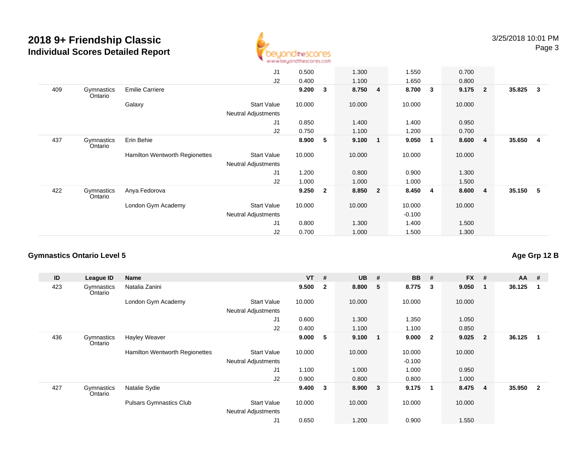

|     |                       |                                | J1                         | 0.500  |                         | 1.300  |                | 1.550    |   | 0.700  |                |          |                         |
|-----|-----------------------|--------------------------------|----------------------------|--------|-------------------------|--------|----------------|----------|---|--------|----------------|----------|-------------------------|
|     |                       |                                | J2                         | 0.400  |                         | 1.100  |                | 1.650    |   | 0.800  |                |          |                         |
| 409 | Gymnastics<br>Ontario | <b>Emilie Carriere</b>         |                            | 9.200  | -3                      | 8.750  | 4              | 8.700    | 3 | 9.175  | $\overline{2}$ | 35.825   | $\overline{\mathbf{3}}$ |
|     |                       | Galaxy                         | <b>Start Value</b>         | 10.000 |                         | 10.000 |                | 10.000   |   | 10.000 |                |          |                         |
|     |                       |                                | <b>Neutral Adjustments</b> |        |                         |        |                |          |   |        |                |          |                         |
|     |                       |                                | J1                         | 0.850  |                         | 1.400  |                | 1.400    |   | 0.950  |                |          |                         |
|     |                       |                                | J2                         | 0.750  |                         | 1.100  |                | 1.200    |   | 0.700  |                |          |                         |
| 437 | Gymnastics<br>Ontario | Erin Behie                     |                            | 8.900  | -5                      | 9.100  | $\mathbf 1$    | 9.050    | 1 | 8.600  | $\overline{4}$ | 35.650   | $\overline{4}$          |
|     |                       | Hamilton Wentworth Regionettes | <b>Start Value</b>         | 10.000 |                         | 10.000 |                | 10.000   |   | 10.000 |                |          |                         |
|     |                       |                                | Neutral Adjustments        |        |                         |        |                |          |   |        |                |          |                         |
|     |                       |                                | J1                         | 1.200  |                         | 0.800  |                | 0.900    |   | 1.300  |                |          |                         |
|     |                       |                                | J2                         | 1.000  |                         | 1.000  |                | 1.000    |   | 1.500  |                |          |                         |
| 422 | Gymnastics<br>Ontario | Anya Fedorova                  |                            | 9.250  | $\overline{\mathbf{2}}$ | 8.850  | $\overline{2}$ | 8.450    | 4 | 8.600  | 4              | 35.150 5 |                         |
|     |                       | London Gym Academy             | <b>Start Value</b>         | 10.000 |                         | 10.000 |                | 10.000   |   | 10.000 |                |          |                         |
|     |                       |                                | <b>Neutral Adjustments</b> |        |                         |        |                | $-0.100$ |   |        |                |          |                         |
|     |                       |                                | J <sub>1</sub>             | 0.800  |                         | 1.300  |                | 1.400    |   | 1.500  |                |          |                         |
|     |                       |                                | J <sub>2</sub>             | 0.700  |                         | 1.000  |                | 1.500    |   | 1.300  |                |          |                         |
|     |                       |                                |                            |        |                         |        |                |          |   |        |                |          |                         |

#### **Gymnastics Ontario Level 5**

**ID League ID Name VT # UB # BB # FX # AA #** 423**Gymnastics** OntarioNatalia Zanini **9.500 <sup>2</sup> 8.800 <sup>5</sup> 8.775 <sup>3</sup> 9.050 <sup>1</sup> 36.125 <sup>1</sup>** London Gym Academy Start Valuee 10.000 10.000 10.000 10.000 Neutral Adjustments J1 0.600 1.300 1.350 1.050 J2 0.400 1.100 1.100 0.850 436 Gymnastics OntarioHayley Weaver **9.000 <sup>5</sup> 9.100 <sup>1</sup> 9.000 <sup>2</sup> 9.025 <sup>2</sup> 36.125 <sup>1</sup>** Hamilton Wentworth Regionettes Start Valuee 10.000 10.000 10.000 10.000 Neutral Adjustments $\sim$  -0.100 1.000 J1 1.100 1.000 1.000 0.950 J2 0.900 0.800 0.800 1.000 427**Gymnastics** OntarioNatalie Sydie **9.400 <sup>3</sup> 8.900 <sup>3</sup> 9.175 <sup>1</sup> 8.475 <sup>4</sup> 35.950 <sup>2</sup>** Pulsars Gymnastics Clubb 3tart Value 10.000 10.000 10.000 10.000 10.000 Neutral Adjustments J10.650 1.200 0.900 1.550

**Age Grp 12 B**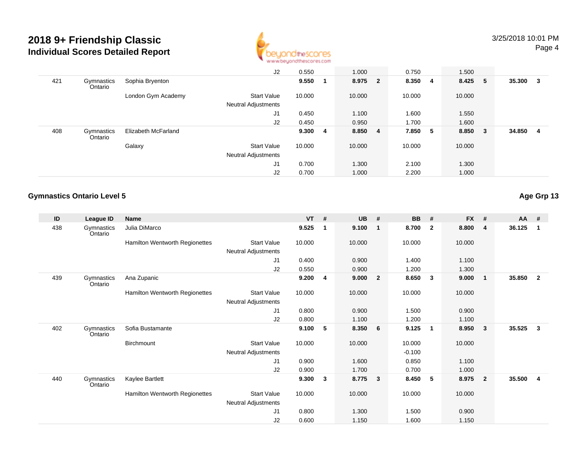

|     |                       |                     | J2                                               | 0.550  |    | 1.000   | 0.750   | 1.500   |                |        |    |
|-----|-----------------------|---------------------|--------------------------------------------------|--------|----|---------|---------|---------|----------------|--------|----|
| 421 | Gymnastics<br>Ontario | Sophia Bryenton     |                                                  | 9.550  |    | 8.975 2 | 8.350 4 | 8.425 5 |                | 35.300 | -3 |
|     |                       | London Gym Academy  | <b>Start Value</b><br><b>Neutral Adjustments</b> | 10.000 |    | 10.000  | 10.000  | 10.000  |                |        |    |
|     |                       |                     | J <sub>1</sub>                                   | 0.450  |    | 1.100   | 1.600   | 1.550   |                |        |    |
|     |                       |                     | J2                                               | 0.450  |    | 0.950   | 1.700   | 1.600   |                |        |    |
| 408 | Gymnastics<br>Ontario | Elizabeth McFarland |                                                  | 9.300  | -4 | 8.850 4 | 7.850 5 | 8.850   | 3 <sup>°</sup> | 34.850 | -4 |
|     |                       | Galaxy              | <b>Start Value</b>                               | 10.000 |    | 10.000  | 10.000  | 10.000  |                |        |    |
|     |                       |                     | <b>Neutral Adjustments</b>                       |        |    |         |         |         |                |        |    |
|     |                       |                     | J <sub>1</sub>                                   | 0.700  |    | 1.300   | 2.100   | 1.300   |                |        |    |
|     |                       |                     | J <sub>2</sub>                                   | 0.700  |    | 1.000   | 2.200   | 1.000   |                |        |    |

#### **Gymnastics Ontario Level 5**

**ID League ID Name VT # UB # BB # FX # AA #** 438 Gymnastics OntarioJulia DiMarco **9.525 <sup>1</sup> 9.100 <sup>1</sup> 8.700 <sup>2</sup> 8.800 <sup>4</sup> 36.125 <sup>1</sup>** Hamilton Wentworth Regionettes Start Valuee 10.000 10.000 10.000 10.000 Neutral Adjustments J1 0.400 0.900 1.400 1.100 J2 0.550 0.900 1.200 1.300 439 Gymnastics OntarioAna Zupanic**c 9.200 <sup>4</sup> 9.000 <sup>2</sup> 8.650 <sup>3</sup> 9.000 <sup>1</sup> 35.850 <sup>2</sup>** Hamilton Wentworth Regionettes Start Valuee 10.000 10.000 10.000 10.000 Neutral Adjustments J1 0.800 0.900 1.500 0.900 J2 0.800 1.100 1.200 1.100 402 Gymnastics OntarioSofia Bustamante **9.100 <sup>5</sup> 8.350 <sup>6</sup> 9.125 <sup>1</sup> 8.950 <sup>3</sup> 35.525 <sup>3</sup> Birchmount**  Start Valuee 10.000 10.000 10.000 10.000 Neutral Adjustments $\sim$  -0.100 0.850 J1 0.900 1.600 0.850 1.100 J2 0.900 1.700 0.700 1.000 440 Gymnastics OntarioKaylee Bartlett **9.300 <sup>3</sup> 8.775 <sup>3</sup> 8.450 <sup>5</sup> 8.975 <sup>2</sup> 35.500 <sup>4</sup>** Hamilton Wentworth Regionettes Start Valuee 10.000 10.000 10.000 10.000 Neutral Adjustments J1 0.800 1.300 1.500 0.900 J20.600 1.150 1.600 1.150

**Age Grp 13**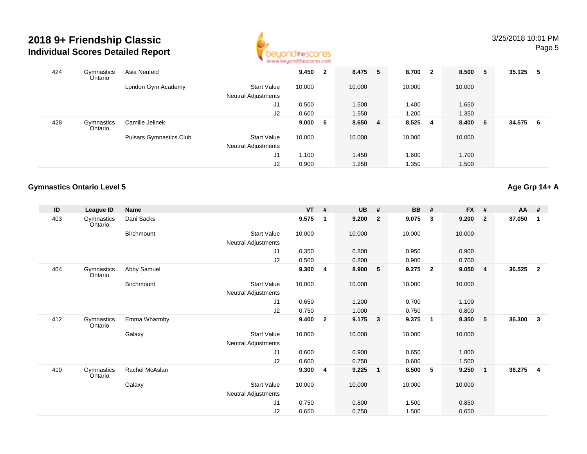

| 424 | Gymnastics<br>Ontario | Asia Neufeld                   |                                           | 9.450  | $\overline{2}$ | 8.475 5 | 8.700  | $\mathbf{2}$ | 8.500 5 |      | 35.125 | 5   |
|-----|-----------------------|--------------------------------|-------------------------------------------|--------|----------------|---------|--------|--------------|---------|------|--------|-----|
|     |                       | London Gym Academy             | <b>Start Value</b><br>Neutral Adjustments | 10.000 |                | 10.000  | 10.000 |              | 10.000  |      |        |     |
|     |                       |                                | J1                                        | 0.500  |                | 1.500   | 1.400  |              | 1.650   |      |        |     |
|     |                       |                                | J2                                        | 0.600  |                | 1.550   | 1.200  |              | 1.350   |      |        |     |
| 428 | Gymnastics<br>Ontario | Camille Jelinek                |                                           | 9.000  | -6             | 8.650 4 | 8.525  | 4            | 8.400   | $-6$ | 34.575 | - 6 |
|     |                       | <b>Pulsars Gymnastics Club</b> | <b>Start Value</b>                        | 10.000 |                | 10.000  | 10.000 |              | 10.000  |      |        |     |
|     |                       |                                | Neutral Adjustments                       |        |                |         |        |              |         |      |        |     |
|     |                       |                                | J1                                        | 1.100  |                | 1.450   | 1.600  |              | 1.700   |      |        |     |
|     |                       |                                | J2                                        | 0.900  |                | 1.250   | 1.350  |              | 1.500   |      |        |     |

## **Gymnastics Ontario Level 5**

**Age Grp 14+ A**

| ID  | League ID             | <b>Name</b>    |                            | $VT$ # |                | <b>UB</b> | #                       | <b>BB</b> | #                       | <b>FX</b> | #                       | $AA$ # |                |
|-----|-----------------------|----------------|----------------------------|--------|----------------|-----------|-------------------------|-----------|-------------------------|-----------|-------------------------|--------|----------------|
| 403 | Gymnastics<br>Ontario | Dani Sacks     |                            | 9.575  | 1              | 9.200     | $\overline{2}$          | 9.075     | $\mathbf{3}$            | 9.200     | $\mathbf{2}$            | 37.050 | 1              |
|     |                       | Birchmount     | <b>Start Value</b>         | 10.000 |                | 10.000    |                         | 10.000    |                         | 10.000    |                         |        |                |
|     |                       |                | Neutral Adjustments        |        |                |           |                         |           |                         |           |                         |        |                |
|     |                       |                | J <sub>1</sub>             | 0.350  |                | 0.800     |                         | 0.950     |                         | 0.900     |                         |        |                |
|     |                       |                | J2                         | 0.500  |                | 0.800     |                         | 0.900     |                         | 0.700     |                         |        |                |
| 404 | Gymnastics<br>Ontario | Abby Samuel    |                            | 9.300  | 4              | 8.900     | 5                       | 9.275     | $\overline{\mathbf{2}}$ | 9.050     | $\overline{\mathbf{4}}$ | 36.525 | $\overline{2}$ |
|     |                       | Birchmount     | <b>Start Value</b>         | 10.000 |                | 10.000    |                         | 10.000    |                         | 10.000    |                         |        |                |
|     |                       |                | Neutral Adjustments        |        |                |           |                         |           |                         |           |                         |        |                |
|     |                       |                | J1                         | 0.650  |                | 1.200     |                         | 0.700     |                         | 1.100     |                         |        |                |
|     |                       |                | J2                         | 0.750  |                | 1.000     |                         | 0.750     |                         | 0.800     |                         |        |                |
| 412 | Gymnastics<br>Ontario | Emma Wharmby   |                            | 9.400  | $\overline{2}$ | 9.175     | $\overline{\mathbf{3}}$ | 9.375     | $\blacksquare$          | 8.350     | 5                       | 36.300 | 3              |
|     |                       | Galaxy         | <b>Start Value</b>         | 10.000 |                | 10.000    |                         | 10.000    |                         | 10.000    |                         |        |                |
|     |                       |                | <b>Neutral Adjustments</b> |        |                |           |                         |           |                         |           |                         |        |                |
|     |                       |                | J <sub>1</sub>             | 0.600  |                | 0.900     |                         | 0.650     |                         | 1.800     |                         |        |                |
|     |                       |                | J2                         | 0.600  |                | 0.750     |                         | 0.600     |                         | 1.500     |                         |        |                |
| 410 | Gymnastics<br>Ontario | Rachel McAslan |                            | 9.300  | 4              | 9.225     | $\mathbf{1}$            | 8.500     | $-5$                    | 9.250     | $\overline{1}$          | 36.275 | 4              |
|     |                       | Galaxy         | Start Value                | 10.000 |                | 10.000    |                         | 10.000    |                         | 10.000    |                         |        |                |
|     |                       |                | <b>Neutral Adjustments</b> |        |                |           |                         |           |                         |           |                         |        |                |
|     |                       |                | J <sub>1</sub>             | 0.750  |                | 0.800     |                         | 1.500     |                         | 0.850     |                         |        |                |
|     |                       |                | J <sub>2</sub>             | 0.650  |                | 0.750     |                         | 1.500     |                         | 0.650     |                         |        |                |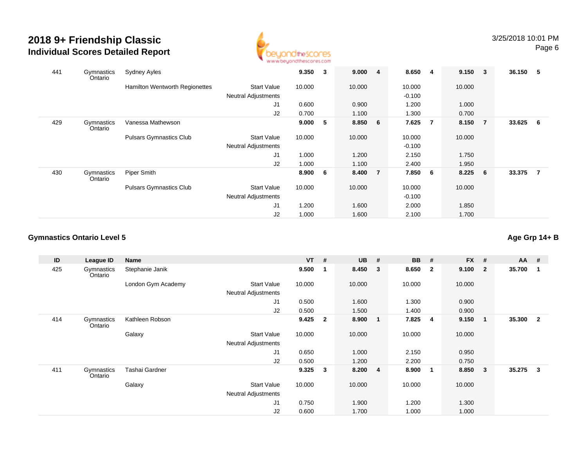

| 441 | Gymnastics<br>Ontario | <b>Sydney Ayles</b>            |                            | 9.350  | 3 | 9.000   | $\overline{\mathbf{4}}$ | 8.650    | -4  | $9.150 \t3$ |                | 36.150 5 |                |
|-----|-----------------------|--------------------------------|----------------------------|--------|---|---------|-------------------------|----------|-----|-------------|----------------|----------|----------------|
|     |                       | Hamilton Wentworth Regionettes | <b>Start Value</b>         | 10.000 |   | 10.000  |                         | 10.000   |     | 10.000      |                |          |                |
|     |                       |                                | <b>Neutral Adjustments</b> |        |   |         |                         | $-0.100$ |     |             |                |          |                |
|     |                       |                                | J <sub>1</sub>             | 0.600  |   | 0.900   |                         | 1.200    |     | 1.000       |                |          |                |
|     |                       |                                | J2                         | 0.700  |   | 1.100   |                         | 1.300    |     | 0.700       |                |          |                |
| 429 | Gymnastics<br>Ontario | Vanessa Mathewson              |                            | 9.000  | 5 | 8.850 6 |                         | 7.625    | - 7 | 8.150       | $\overline{7}$ | 33.625 6 |                |
|     |                       | <b>Pulsars Gymnastics Club</b> | <b>Start Value</b>         | 10.000 |   | 10.000  |                         | 10.000   |     | 10.000      |                |          |                |
|     |                       |                                | <b>Neutral Adjustments</b> |        |   |         |                         | $-0.100$ |     |             |                |          |                |
|     |                       |                                | J <sub>1</sub>             | 1.000  |   | 1.200   |                         | 2.150    |     | 1.750       |                |          |                |
|     |                       |                                | J <sub>2</sub>             | 1.000  |   | 1.100   |                         | 2.400    |     | 1.950       |                |          |                |
| 430 | Gymnastics<br>Ontario | Piper Smith                    |                            | 8.900  | 6 | 8.400   | $\overline{7}$          | 7.850    | - 6 | 8.225       | - 6            | 33.375   | $\overline{7}$ |
|     |                       | <b>Pulsars Gymnastics Club</b> | <b>Start Value</b>         | 10.000 |   | 10.000  |                         | 10.000   |     | 10.000      |                |          |                |
|     |                       |                                | <b>Neutral Adjustments</b> |        |   |         |                         | $-0.100$ |     |             |                |          |                |
|     |                       |                                | J <sub>1</sub>             | 1.200  |   | 1.600   |                         | 2.000    |     | 1.850       |                |          |                |
|     |                       |                                | J2                         | 1.000  |   | 1.600   |                         | 2.100    |     | 1.700       |                |          |                |

#### **Gymnastics Ontario Level 5**

**ID League ID Name VT # UB # BB # FX # AA #** 425 Gymnastics OntarioStephanie Janik **9.500 <sup>1</sup> 8.450 <sup>3</sup> 8.650 <sup>2</sup> 9.100 <sup>2</sup> 35.700 <sup>1</sup>** London Gym Academy Start Valuee 10.000 10.000 10.000 10.000 Neutral Adjustments J1 0.500 1.600 1.300 0.900 J2 0.500 1.500 1.400 0.900 414**Gymnastics** OntarioKathleen Robson **9.425 <sup>2</sup> 8.900 <sup>1</sup> 7.825 <sup>4</sup> 9.150 <sup>1</sup> 35.300 <sup>2</sup> Galaxy**  Start Valuee 10.000 10.000 10.000 10.000 Neutral Adjustments J1 0.650 1.000 2.150 0.950 J2 0.500 1.200 2.200 0.750 411 Gymnastics OntarioTashai Gardner **9.325 <sup>3</sup> 8.200 <sup>4</sup> 8.900 <sup>1</sup> 8.850 <sup>3</sup> 35.275 <sup>3</sup>** Galaxy Start Valuee 10.000 10.000 10.000 10.000 Neutral Adjustments J1 0.750 1.900 1.200 1.300 J20.600 1.700 1.000 1.000

**Age Grp 14+ B**